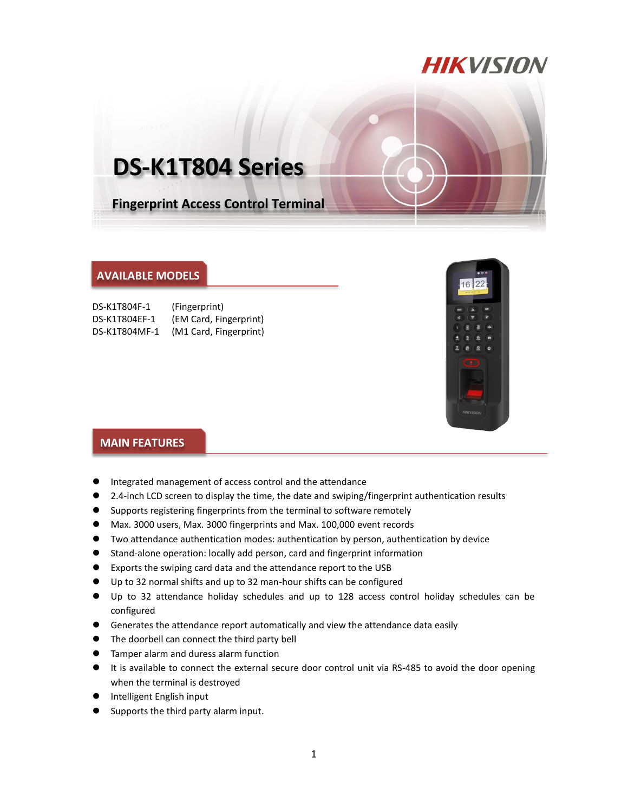## **HIKVISION**

# **DS-K1T804 Series**

**Fingerprint Access Control Terminal**

#### **AVAILABLE MODELS**

| DS-K1T804F-1  | (Fingerprint)          |
|---------------|------------------------|
| DS-K1T804EF-1 | (EM Card, Fingerprint) |
| DS-K1T804MF-1 | (M1 Card, Fingerprint) |



#### **MAIN FEATURES**

- Integrated management of access control and the attendance
- 2.4-inch LCD screen to display the time, the date and swiping/fingerprint authentication results
- Supports registering fingerprints from the terminal to software remotely
- Max. 3000 users, Max. 3000 fingerprints and Max. 100,000 event records
- Two attendance authentication modes: authentication by person, authentication by device
- Stand-alone operation: locally add person, card and fingerprint information
- Exports the swiping card data and the attendance report to the USB
- Up to 32 normal shifts and up to 32 man-hour shifts can be configured
- Up to 32 attendance holiday schedules and up to 128 access control holiday schedules can be configured
- Generates the attendance report automatically and view the attendance data easily
- The doorbell can connect the third party bell
- **Tamper alarm and duress alarm function**
- It is available to connect the external secure door control unit via RS-485 to avoid the door opening when the terminal is destroyed
- **Intelligent English input**
- Supports the third party alarm input.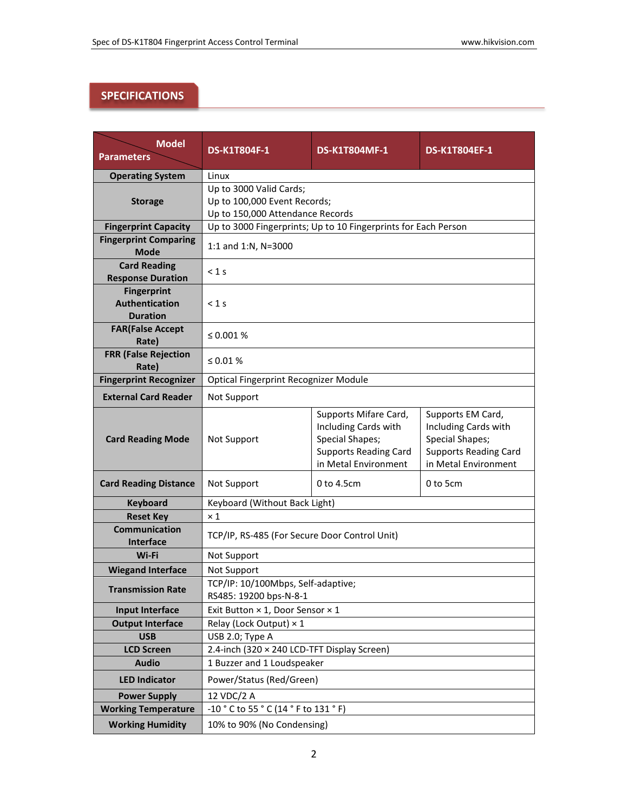## **SPECIFICATIONS**

| <b>Model</b><br><b>Parameters</b> | <b>DS-K1T804F-1</b>                                            | <b>DS-K1T804MF-1</b>         | <b>DS-K1T804EF-1</b>         |  |
|-----------------------------------|----------------------------------------------------------------|------------------------------|------------------------------|--|
| <b>Operating System</b>           | Linux                                                          |                              |                              |  |
|                                   | Up to 3000 Valid Cards;                                        |                              |                              |  |
| <b>Storage</b>                    | Up to 100,000 Event Records;                                   |                              |                              |  |
|                                   | Up to 150,000 Attendance Records                               |                              |                              |  |
| <b>Fingerprint Capacity</b>       | Up to 3000 Fingerprints; Up to 10 Fingerprints for Each Person |                              |                              |  |
| <b>Fingerprint Comparing</b>      |                                                                |                              |                              |  |
| <b>Mode</b>                       | 1:1 and 1:N, N=3000                                            |                              |                              |  |
| <b>Card Reading</b>               | $<$ 1 s                                                        |                              |                              |  |
| <b>Response Duration</b>          |                                                                |                              |                              |  |
| <b>Fingerprint</b>                | $< 1$ s                                                        |                              |                              |  |
| Authentication<br><b>Duration</b> |                                                                |                              |                              |  |
|                                   |                                                                |                              |                              |  |
| <b>FAR(False Accept</b><br>Rate)  | $\leq 0.001 \%$                                                |                              |                              |  |
| <b>FRR (False Rejection</b>       |                                                                |                              |                              |  |
| Rate)                             | ≤ 0.01 $%$                                                     |                              |                              |  |
| <b>Fingerprint Recognizer</b>     | Optical Fingerprint Recognizer Module                          |                              |                              |  |
| <b>External Card Reader</b>       | <b>Not Support</b>                                             |                              |                              |  |
|                                   |                                                                | Supports Mifare Card,        | Supports EM Card,            |  |
|                                   | Not Support                                                    | Including Cards with         | Including Cards with         |  |
| <b>Card Reading Mode</b>          |                                                                | <b>Special Shapes;</b>       | <b>Special Shapes;</b>       |  |
|                                   |                                                                | <b>Supports Reading Card</b> | <b>Supports Reading Card</b> |  |
|                                   |                                                                | in Metal Environment         | in Metal Environment         |  |
| <b>Card Reading Distance</b>      | Not Support                                                    | 0 to 4.5cm                   | 0 to 5cm                     |  |
| <b>Keyboard</b>                   | Keyboard (Without Back Light)                                  |                              |                              |  |
| <b>Reset Key</b>                  | $\times$ 1                                                     |                              |                              |  |
| <b>Communication</b>              | TCP/IP, RS-485 (For Secure Door Control Unit)                  |                              |                              |  |
| <b>Interface</b>                  |                                                                |                              |                              |  |
| Wi-Fi                             | Not Support                                                    |                              |                              |  |
| <b>Wiegand Interface</b>          | <b>Not Support</b>                                             |                              |                              |  |
| <b>Transmission Rate</b>          | TCP/IP: 10/100Mbps, Self-adaptive;                             |                              |                              |  |
|                                   | RS485: 19200 bps-N-8-1                                         |                              |                              |  |
| <b>Input Interface</b>            | Exit Button × 1, Door Sensor × 1                               |                              |                              |  |
| <b>Output Interface</b>           | Relay (Lock Output) $\times$ 1                                 |                              |                              |  |
| <b>USB</b>                        | USB 2.0; Type A                                                |                              |                              |  |
| <b>LCD Screen</b>                 | 2.4-inch (320 × 240 LCD-TFT Display Screen)                    |                              |                              |  |
| <b>Audio</b>                      | 1 Buzzer and 1 Loudspeaker                                     |                              |                              |  |
| <b>LED Indicator</b>              | Power/Status (Red/Green)                                       |                              |                              |  |
| <b>Power Supply</b>               | 12 VDC/2 A                                                     |                              |                              |  |
| <b>Working Temperature</b>        | -10 ° C to 55 ° C (14 ° F to 131 ° F)                          |                              |                              |  |
| <b>Working Humidity</b>           | 10% to 90% (No Condensing)                                     |                              |                              |  |